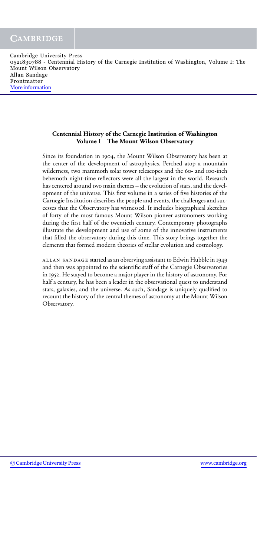#### **Centennial History of the Carnegie Institution of Washington Volume I The Mount Wilson Observatory**

Since its foundation in 1904, the Mount Wilson Observatory has been at the center of the development of astrophysics. Perched atop a mountain wilderness, two mammoth solar tower telescopes and the 60- and 100-inch behemoth night-time reflectors were all the largest in the world. Research has centered around two main themes – the evolution of stars, and the development of the universe. This first volume in a series of five histories of the Carnegie Institution describes the people and events, the challenges and successes that the Observatory has witnessed. It includes biographical sketches of forty of the most famous Mount Wilson pioneer astronomers working during the first half of the twentieth century. Contemporary photographs illustrate the development and use of some of the innovative instruments that filled the observatory during this time. This story brings together the elements that formed modern theories of stellar evolution and cosmology.

allan sandage started as an observing assistant to Edwin Hubble in 1949 and then was appointed to the scientific staff of the Carnegie Observatories in 1952. He stayed to become a major player in the history of astronomy. For half a century, he has been a leader in the observational quest to understand stars, galaxies, and the universe. As such, Sandage is uniquely qualified to recount the history of the central themes of astronomy at the Mount Wilson Observatory.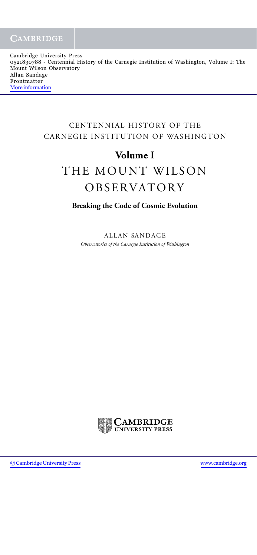## CENTENNIAL HISTORY OF THE CARNEGIE INSTITUTION OF WASHINGTON

# **Volume I**

# THE MOUNT WILSON OBSERVATORY

### **Breaking the Code of Cosmic Evolution**

ALLAN SANDAGE

*Observatories of the Carnegie Institution of Washington*

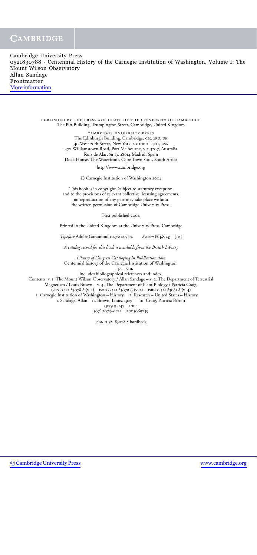| Cambridge University Press                                                               |
|------------------------------------------------------------------------------------------|
| 0521830788 - Centennial History of the Carnegie Institution of Washington, Volume I: The |
| Mount Wilson Observatory                                                                 |
| Allan Sandage                                                                            |
| Frontmatter                                                                              |
| More information                                                                         |
|                                                                                          |

published by the press syndicate of the university of cambridge The Pitt Building, Trumpington Street, Cambridge, United Kingdom

> cambridge university press The Edinburgh Building, Cambridge, cb2 2ru, uk 40 West 20th Street, New York, ny 10011– 4211, usa 477 Williamstown Road, Port Melbourne, vic 3207, Australia Ruiz de Alarcón 13, 28014 Madrid, Spain Dock House, The Waterfront, Cape Town 8001, South Africa

> > http://www.cambridge.org

<sup>C</sup> Carnegie Institution of Washington 2004

This book is in copyright. Subject to statutory exception and to the provisions of relevant collective licensing agreements, no reproduction of any part may take place without the written permission of Cambridge University Press.

First published 2004

Printed in the United Kingdom at the University Press, Cambridge

*Typeface* Adobe Garamond 10.75/12.5 pt. System ETEX 2ε [TB]

*A catalog record for this book is available from the British Library*

*Library of Congress Cataloging in Publication data* Centennial history of the Carnegie Institution of Washington.

p. cm.

Includes bibliographical references and index. Contents: v. 1. The Mount Wilson Observatory / Allan Sandage – v. 2. The Department of Terrestrial Magnetism / Louis Brown – v. 4. The Department of Plant Biology / Patricia Craig. isbn 0 521 83078 8 (v. 1) isbn 0 521 83079 6 (v. 2) isbn 0 521 83081 8 (v. 4) 1. Carnegie Institution of Washington - History. 2. Research - United States - History. i. Sandage, Allan ii. Brown, Louis, 1929– iii. Craig, Patricia Parratt q179.9.c45 2004 507- .2073–dc22 2003069739

isbn 0 521 83078 8 hardback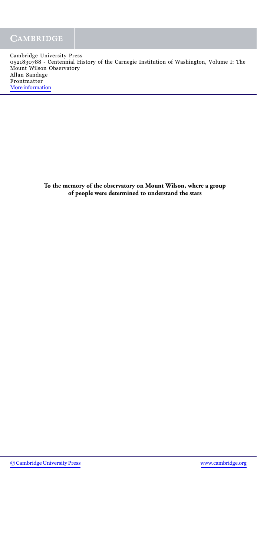> **To the memory of the observatory on Mount Wilson, where a group of people were determined to understand the stars**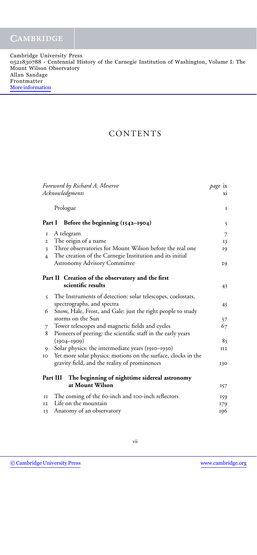| Cambridge University Press                                                               |
|------------------------------------------------------------------------------------------|
| 0521830788 - Centennial History of the Carnegie Institution of Washington, Volume I: The |
| Mount Wilson Observatory                                                                 |
| Allan Sandage                                                                            |
| Frontmatter                                                                              |
| More information                                                                         |
|                                                                                          |

# CONTENTS

|                     | Foreword by Richard A. Meserve<br>Acknowledgments                                                                    | <i>page</i> ix<br>X1 |
|---------------------|----------------------------------------------------------------------------------------------------------------------|----------------------|
|                     | Prologue                                                                                                             | <b>I</b>             |
| Part I              | Before the beginning $(1542 - 1904)$                                                                                 | 5                    |
| 1                   | A telegram                                                                                                           | 7                    |
| $\overline{2}$      | The origin of a name                                                                                                 | 13                   |
| 3<br>$\overline{4}$ | Three observatories for Mount Wilson before the real one<br>The creation of the Carnegie Institution and its initial | 19                   |
|                     | <b>Astronomy Advisory Committee</b>                                                                                  | 29                   |
|                     | Part II Creation of the observatory and the first                                                                    |                      |
|                     | scientific results                                                                                                   | 43                   |
| $\mathsf{S}$        | The Instruments of detection: solar telescopes, coelostats,                                                          |                      |
|                     | spectrographs, and spectra                                                                                           | 45                   |
| 6                   | Snow, Hale, Frost, and Gale: just the right people to study                                                          |                      |
|                     | storms on the Sun                                                                                                    | 57                   |
| 7                   | Tower telescopes and magnetic fields and cycles                                                                      | 67                   |
| 8                   | Pioneers of peering: the scientific staff in the early years                                                         |                      |
|                     | $(1904 - 1909)$                                                                                                      | 85                   |
| 9                   | Solar physics: the intermediate years (1910–1930)                                                                    | II2                  |
| IO                  | Yet more solar physics: motions on the surface, clocks in the                                                        |                      |
|                     | gravity field, and the reality of prominences                                                                        | 130                  |
|                     | Part III<br>The beginning of nighttime sidereal astronomy                                                            |                      |
|                     | at Mount Wilson                                                                                                      | 157                  |
| $_{II}$             | The coming of the 60-inch and 100-inch reflectors                                                                    | 159                  |
| I <sub>2</sub>      | Life on the mountain                                                                                                 | 179                  |
| 13                  | Anatomy of an observatory                                                                                            | 196                  |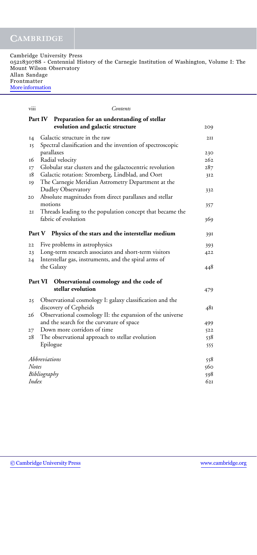| Cambridge University Press                                                               |
|------------------------------------------------------------------------------------------|
| 0521830788 - Centennial History of the Carnegie Institution of Washington, Volume I: The |
| Mount Wilson Observatory                                                                 |
| Allan Sandage                                                                            |
| Frontmatter                                                                              |
| More information                                                                         |
|                                                                                          |

| viii         | Contents                                                                                   |     |  |
|--------------|--------------------------------------------------------------------------------------------|-----|--|
|              | Part IV<br>Preparation for an understanding of stellar<br>evolution and galactic structure | 209 |  |
|              |                                                                                            |     |  |
| 14           | Galactic structure in the raw                                                              | 2II |  |
| 15           | Spectral classification and the invention of spectroscopic                                 |     |  |
|              | parallaxes                                                                                 | 230 |  |
| 16           | Radial velocity                                                                            | 262 |  |
| I7           | Globular star clusters and the galactocentric revolution                                   | 287 |  |
| 18           | Galactic rotation: Stromberg, Lindblad, and Oort                                           | 312 |  |
| 19           | The Carnegie Meridian Astrometry Department at the                                         |     |  |
|              | Dudley Observatory                                                                         | 332 |  |
| 20           | Absolute magnitudes from direct parallaxes and stellar                                     |     |  |
|              | motions                                                                                    | 357 |  |
| 2I           | Threads leading to the population concept that became the<br>fabric of evolution           |     |  |
|              |                                                                                            | 369 |  |
|              | Part V<br>Physics of the stars and the interstellar medium                                 | 391 |  |
| 22           | Five problems in astrophysics                                                              | 393 |  |
| 23           | Long-term research associates and short-term visitors                                      | 422 |  |
| 24           | Interstellar gas, instruments, and the spiral arms of                                      |     |  |
|              | the Galaxy                                                                                 | 448 |  |
|              | Part VI<br>Observational cosmology and the code of                                         |     |  |
|              | stellar evolution                                                                          | 479 |  |
| 25           | Observational cosmology I: galaxy classification and the                                   |     |  |
|              | discovery of Cepheids                                                                      | 48I |  |
| 26           | Observational cosmology II: the expansion of the universe                                  |     |  |
|              | and the search for the curvature of space                                                  | 499 |  |
| 27           | Down more corridors of time                                                                | 522 |  |
| 28           | The observational approach to stellar evolution                                            | 538 |  |
|              | Epilogue                                                                                   | 555 |  |
|              |                                                                                            |     |  |
|              | Abbreviations                                                                              | 558 |  |
| Notes        |                                                                                            | 560 |  |
| Bibliography |                                                                                            |     |  |
|              | 598<br>Index<br>62I                                                                        |     |  |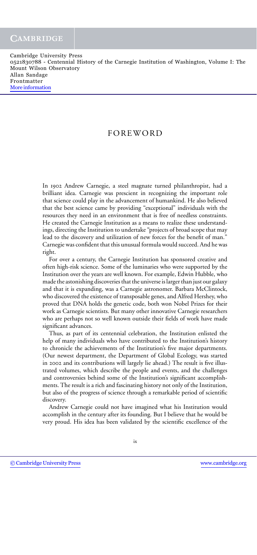### FOREWORD

In 1902 Andrew Carnegie, a steel magnate turned philanthropist, had a brilliant idea. Carnegie was prescient in recognizing the important role that science could play in the advancement of humankind. He also believed that the best science came by providing "exceptional" individuals with the resources they need in an environment that is free of needless constraints. He created the Carnegie Institution as a means to realize these understandings, directing the Institution to undertake "projects of broad scope that may lead to the discovery and utilization of new forces for the benefit of man." Carnegie was confident that this unusual formula would succeed. And he was right.

For over a century, the Carnegie Institution has sponsored creative and often high-risk science. Some of the luminaries who were supported by the Institution over the years are well known. For example, Edwin Hubble, who made the astonishing discoveries that the universe is larger than just our galaxy and that it is expanding, was a Carnegie astronomer. Barbara McClintock, who discovered the existence of transposable genes, and Alfred Hershey, who proved that DNA holds the genetic code, both won Nobel Prizes for their work as Carnegie scientists. But many other innovative Carnegie researchers who are perhaps not so well known outside their fields of work have made significant advances.

Thus, as part of its centennial celebration, the Institution enlisted the help of many individuals who have contributed to the Institution's history to chronicle the achievements of the Institution's five major departments. (Our newest department, the Department of Global Ecology, was started in 2002 and its contributions will largely lie ahead.) The result is five illustrated volumes, which describe the people and events, and the challenges and controversies behind some of the Institution's significant accomplishments. The result is a rich and fascinating history not only of the Institution, but also of the progress of science through a remarkable period of scientific discovery.

Andrew Carnegie could not have imagined what his Institution would accomplish in the century after its founding. But I believe that he would be very proud. His idea has been validated by the scientific excellence of the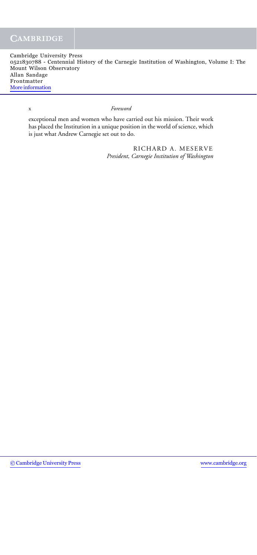x *Foreword*

exceptional men and women who have carried out his mission. Their work has placed the Institution in a unique position in the world of science, which is just what Andrew Carnegie set out to do.

> RICHARD A. MESERVE *President, Carnegie Institution of Washington*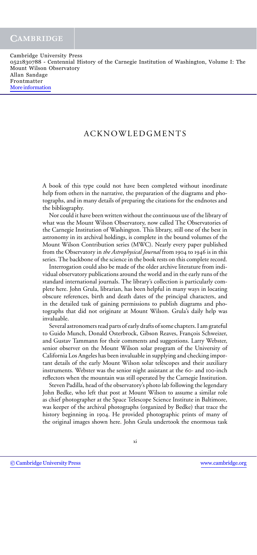### ACKNOWLEDGMENTS

A book of this type could not have been completed without inordinate help from others in the narrative, the preparation of the diagrams and photographs, and in many details of preparing the citations for the endnotes and the bibliography.

Nor could it have been written without the continuous use of the library of what was the Mount Wilson Observatory, now called The Observatories of the Carnegie Institution of Washington. This library, still one of the best in astronomy in its archival holdings, is complete in the bound volumes of the Mount Wilson Contribution series (MWC). Nearly every paper published from the Observatory in *the Astrophysical Journal* from 1904 to 1946 is in this series. The backbone of the science in the book rests on this complete record.

Interrogation could also be made of the older archive literature from individual observatory publications around the world and in the early runs of the standard international journals. The library's collection is particularly complete here. John Grula, librarian, has been helpful in many ways in locating obscure references, birth and death dates of the principal characters, and in the detailed task of gaining permissions to publish diagrams and photographs that did not originate at Mount Wilson. Grula's daily help was invaluable.

Several astronomers read parts of early drafts of some chapters. I am grateful to Guido Munch, Donald Osterbrock, Gibson Reaves, François Schweizer, and Gustav Tammann for their comments and suggestions. Larry Webster, senior observer on the Mount Wilson solar program of the University of California Los Angeles has been invaluable in supplying and checking important details of the early Mount Wilson solar telèscopes and their auxiliary instruments. Webster was the senior night assistant at the 60- and 100-inch reflectors when the mountain was still operated by the Carnegie Institution.

Steven Padilla, head of the observatory's photo lab following the legendary John Bedke, who left that post at Mount Wilson to assume a similar role as chief photographer at the Space Telescope Science Institute in Baltimore, was keeper of the archival photographs (organized by Bedke) that trace the history beginning in 1904. He provided photographic prints of many of the original images shown here. John Grula undertook the enormous task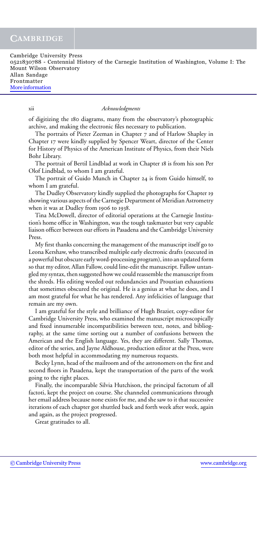| Cambridge University Press                                                               |
|------------------------------------------------------------------------------------------|
| 0521830788 - Centennial History of the Carnegie Institution of Washington, Volume I: The |
| Mount Wilson Observatory                                                                 |
| Allan Sandage                                                                            |
| Frontmatter                                                                              |
| More information                                                                         |
|                                                                                          |

#### xii *Acknowledgments*

of digitizing the 180 diagrams, many from the observatory's photographic archive, and making the electronic files necessary to publication.

The portraits of Pieter Zeeman in Chapter 7 and of Harlow Shapley in Chapter 17 were kindly supplied by Spencer Weart, director of the Center for History of Physics of the American Institute of Physics, from their Niels Bohr Library.

The portrait of Bertil Lindblad at work in Chapter 18 is from his son Per Olof Lindblad, to whom I am grateful.

The portrait of Guido Munch in Chapter 24 is from Guido himself, to whom I am grateful.

The Dudley Observatory kindly supplied the photographs for Chapter 19 showing various aspects of the Carnegie Department of Meridian Astrometry when it was at Dudley from 1906 to 1938.

Tina McDowell, director of editorial operations at the Carnegie Institution's home office in Washington, was the tough taskmaster but very capable liaison officer between our efforts in Pasadena and the Cambridge University Press.

My first thanks concerning the management of the manuscript itself go to Leona Kershaw, who transcribed multiple early electronic drafts (executed in a powerful but obscure early word-processing program), into an updated form so that my editor, Allan Fallow, could line-edit the manuscript. Fallow untangled my syntax, then suggested how we could reassemble the manuscript from the shreds. His editing weeded out redundancies and Proustian exhaustions that sometimes obscured the original. He is a genius at what he does, and I am most grateful for what he has rendered. Any infelicities of language that remain are my own.

I am grateful for the style and brilliance of Hugh Brazier, copy-editor for Cambridge University Press, who examined the manuscript microscopically and fixed innumerable incompatibilities between text, notes, and bibliography, at the same time sorting out a number of confusions between the American and the English language. Yes, they are different. Sally Thomas, editor of the series, and Jayne Aldhouse, production editor at the Press, were both most helpful in accommodating my numerous requests.

Becky Lynn, head of the mailroom and of the astronomers on the first and second floors in Pasadena, kept the transportation of the parts of the work going to the right places.

Finally, the incomparable Silvia Hutchison, the principal factotum of all factoti, kept the project on course. She channeled communications through her email address because none exists for me, and she saw to it that successive iterations of each chapter got shuttled back and forth week after week, again and again, as the project progressed.

Great gratitudes to all.